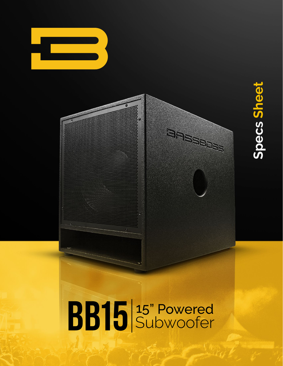

# Specs Sheet **Specs Sheet**

## BB15 3" Powered

 $\overline{a}$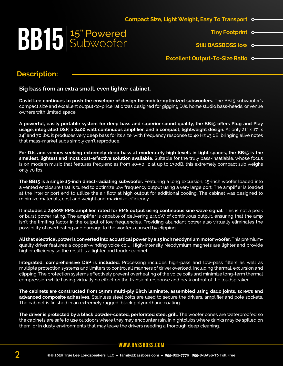## **BB15** Subwoofer

**Tiny Footprint**

**Still BASSBOSS low**

**Excellent Output-To-Size Ratio**

#### **Description:**

**Big bass from an extra small, even lighter cabinet.**

**David Lee continues to push the envelope of design for mobile-optimized subwoofers.** The BB15 subwoofer's compact size and excellent output-to-price ratio was designed for gigging DJs, home studio bass-heads, or venue owners with limited space.

**A powerful, easily portable system for deep bass and superior sound quality, the BB15 offers Plug and Play usage, integrated DSP, a 2400 watt continuous amplifier, and a compact, lightweight design.** At only 21" x 17" x  $24^{\circ}$  and 70 lbs, it produces very deep bass for its size, with frequency response to 40 Hz  $\pm$ 3 dB, bringing alive notes that mass-market subs simply can't reproduce.

**For DJs and venues seeking extremely deep bass at moderately high levels in tight spaces, the BB15 is the smallest, lightest and most cost-effective solution available.** Suitable for the truly bass-insatiable, whose focus is on modern music that features frequencies from 40-50Hz at up to 130dB, this extremely compact sub weighs only 70 lbs.

**The BB15 is a single 15-inch direct-radiating subwoofer.** Featuring a long excursion, 15-inch woofer loaded into a vented enclosure that is tuned to optimize low frequency output using a very large port. The amplifier is loaded at the interior port end to utilize the air flow at high output for additional cooling. The cabinet was designed to minimize materials, cost and weight and maximize efficiency.

**It includes a 2400W RMS amplifier, rated for RMS output using continuous sine wave signal.** This is not a peak or burst power rating. The amplifier is capable of delivering 2400W of continuous output, ensuring that the amp isn't the limiting factor in the output of low frequencies. Providing abundant power also virtually eliminates the possibility of overheating and damage to the woofers caused by clipping.

**All that electrical power is converted into acoustical power by a 15 inch neodymium motor woofer.** This premiumquality driver features a copper-winding voice coil. High-intensity Neodymium magnets are lighter and provide higher efficiency so the result is a lighter and louder cabinet.

**Integrated, comprehensive DSP is included.** Processing includes high-pass and low-pass filters as well as multiple protection systems and limiters to control all manners of driver overload, including thermal, excursion and clipping. The protection systems effectively prevent overheating of the voice coils and minimize long-term thermal compression while having virtually no effect on the transient response and peak output of the loudspeaker.

**The cabinets are constructed from 15mm multi-ply Birch laminate, assembled using dado joints, screws and advanced composite adhesives.** Stainless steel bolts are used to secure the drivers, amplifier and pole sockets. The cabinet is finished in an extremely rugged, black polyurethane coating.

**The driver is protected by a black powder-coated, perforated steel grill.** The woofer cones are waterproofed so the cabinets are safe to use outdoors where they may encounter rain, in nightclubs where drinks may be spilled on them, or in dusty environments that may leave the drivers needing a thorough deep cleaning.

**www.bassboss.com**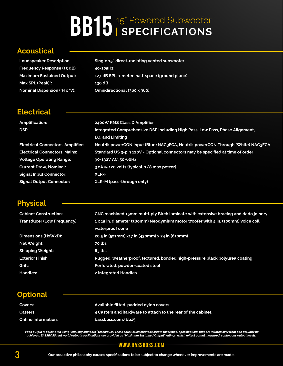## **BB15** <sup>15" Powered Subwoofer</sup>

#### **Acoustical**

**Frequ** 

**Max S** 

| <b>Loudspeaker Description:</b>      | Single 15" direct-radiating vented subwoofer   |
|--------------------------------------|------------------------------------------------|
| Frequency Response (±3 dB):          | 40-105Hz                                       |
| <b>Maximum Sustained Output:</b>     | 127 dB SPL, 1 meter, half-space (ground plane) |
| <b>Max SPL (Peak)*:</b>              | 130 dB                                         |
| <b>Nominal Dispersion (°H x °V):</b> | Omnidirectional (360 x 360)                    |

#### **Electrical**

| <b>Amplification:</b>                    | 2400W RMS Class D Amplifier                                                     |
|------------------------------------------|---------------------------------------------------------------------------------|
| DSP:                                     | Integrated Comprehensive DSP including High Pass, Low Pass, Phase Alignment,    |
|                                          | <b>EQ, and Limiting</b>                                                         |
| <b>Electrical Connectors, Amplifier:</b> | Neutrik powerCON Input (Blue) NAC3FCA, Neutrik powerCON Through (White) NAC3FCA |
| <b>Electrical Connectors, Mains:</b>     | Standard US 3-pin 120V - Optional connectors may be specified at time of order  |
| <b>Voltage Operating Range:</b>          | 90-132V AC, 50-60Hz.                                                            |
| <b>Current Draw, Nominal:</b>            | 3.2A @ 120 volts (typical, 1/8 max power)                                       |
| <b>Signal Input Connector:</b>           | <b>XLR-F</b>                                                                    |
| <b>Signal Output Connector:</b>          | XLR-M (pass-through only)                                                       |

#### **Physical**

| <b>Cabinet Construction:</b>       | CNC machined 15mm multi-ply Birch laminate with extensive bracing and dado joinery. |  |
|------------------------------------|-------------------------------------------------------------------------------------|--|
| <b>Transducer (Low Frequency):</b> | 1 x 15 in. diameter (380mm) Neodymium motor woofer with 4 in. (100mm) voice coil,   |  |
|                                    | waterproof cone                                                                     |  |
| Dimensions (HxWxD):                | 20.5 in (521mm) x17 in (430mm) x 24 in (610mm)                                      |  |
| Net Weight:                        | 70 lbs                                                                              |  |
| Shipping Weight:                   | $83$ lbs                                                                            |  |
| <b>Exterior Finish:</b>            | Rugged, weatherproof, textured, bonded high-pressure black polyurea coating         |  |
| Grill:                             | Perforated, powder-coated steel                                                     |  |
| <b>Handles:</b>                    | 2 Integrated Handles                                                                |  |

#### **Optional**

| Covers:                    | Available fitted, padded nylon covers                        |
|----------------------------|--------------------------------------------------------------|
| <b>Casters:</b>            | 4 Casters and hardware to attach to the rear of the cabinet. |
| <b>Online Information:</b> | bassboss.com/bb15                                            |

"Peak output is calculated using "industry standard" techniques. These calculation methods create theoretical specifications that are inflated over what can actually be<br>achieved. BASSBOSS real world output specifications a

#### **www.bassboss.com**